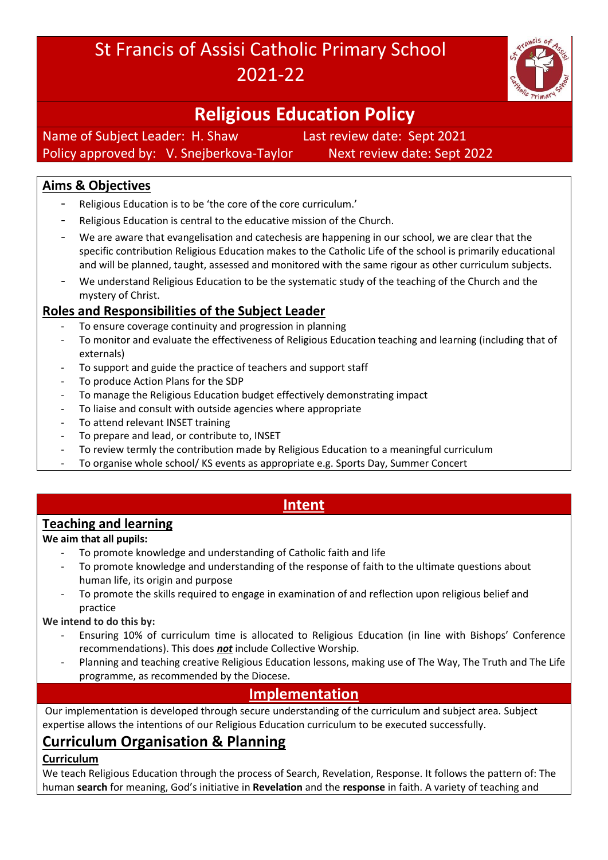# St Francis of Assisi Catholic Primary School 2021-22



# **Religious Education Policy**

Name of Subject Leader: H. Shaw Last review date: Sept 2021 Policy approved by: V. Snejberkova-Taylor Next review date: Sept 2022

## **Aims & Objectives**

- Religious Education is to be 'the core of the core curriculum.'
- Religious Education is central to the educative mission of the Church.
- We are aware that evangelisation and catechesis are happening in our school, we are clear that the specific contribution Religious Education makes to the Catholic Life of the school is primarily educational and will be planned, taught, assessed and monitored with the same rigour as other curriculum subjects.
- We understand Religious Education to be the systematic study of the teaching of the Church and the mystery of Christ.

## **Roles and Responsibilities of the Subject Leader**

- To ensure coverage continuity and progression in planning
- To monitor and evaluate the effectiveness of Religious Education teaching and learning (including that of externals)
- To support and guide the practice of teachers and support staff
- To produce Action Plans for the SDP
- To manage the Religious Education budget effectively demonstrating impact
- To liaise and consult with outside agencies where appropriate
- To attend relevant INSET training
- To prepare and lead, or contribute to, INSET
- To review termly the contribution made by Religious Education to a meaningful curriculum
- To organise whole school/ KS events as appropriate e.g. Sports Day, Summer Concert

### **Intent**

#### **Teaching and learning**

#### **We aim that all pupils:**

- To promote knowledge and understanding of Catholic faith and life
- To promote knowledge and understanding of the response of faith to the ultimate questions about human life, its origin and purpose
- To promote the skills required to engage in examination of and reflection upon religious belief and practice

#### **We intend to do this by:**

- Ensuring 10% of curriculum time is allocated to Religious Education (in line with Bishops' Conference recommendations). This does *not* include Collective Worship.
- Planning and teaching creative Religious Education lessons, making use of The Way, The Truth and The Life programme, as recommended by the Diocese.

## **Implementation**

Our implementation is developed through secure understanding of the curriculum and subject area. Subject expertise allows the intentions of our Religious Education curriculum to be executed successfully.

# **Curriculum Organisation & Planning**

#### **Curriculum**

We teach Religious Education through the process of Search, Revelation, Response. It follows the pattern of: The human **search** for meaning, God's initiative in **Revelation** and the **response** in faith. A variety of teaching and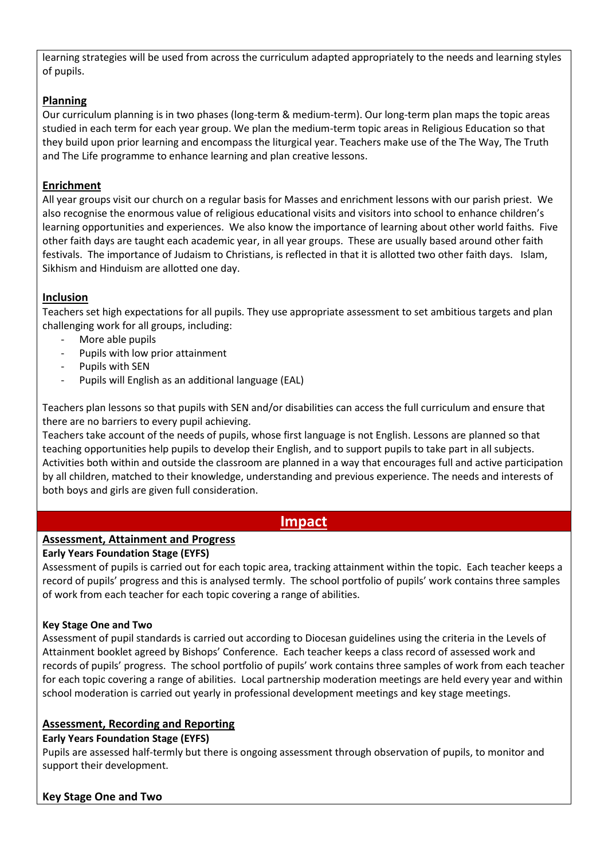learning strategies will be used from across the curriculum adapted appropriately to the needs and learning styles of pupils.

#### **Planning**

Our curriculum planning is in two phases (long-term & medium-term). Our long-term plan maps the topic areas studied in each term for each year group. We plan the medium-term topic areas in Religious Education so that they build upon prior learning and encompass the liturgical year. Teachers make use of the The Way, The Truth and The Life programme to enhance learning and plan creative lessons.

#### **Enrichment**

All year groups visit our church on a regular basis for Masses and enrichment lessons with our parish priest. We also recognise the enormous value of religious educational visits and visitors into school to enhance children's learning opportunities and experiences. We also know the importance of learning about other world faiths. Five other faith days are taught each academic year, in all year groups. These are usually based around other faith festivals. The importance of Judaism to Christians, is reflected in that it is allotted two other faith days. Islam, Sikhism and Hinduism are allotted one day.

#### **Inclusion**

Teachers set high expectations for all pupils. They use appropriate assessment to set ambitious targets and plan challenging work for all groups, including:

- More able pupils
- Pupils with low prior attainment
- Pupils with SEN
- Pupils will English as an additional language (EAL)

Teachers plan lessons so that pupils with SEN and/or disabilities can access the full curriculum and ensure that there are no barriers to every pupil achieving.

Teachers take account of the needs of pupils, whose first language is not English. Lessons are planned so that teaching opportunities help pupils to develop their English, and to support pupils to take part in all subjects. Activities both within and outside the classroom are planned in a way that encourages full and active participation by all children, matched to their knowledge, understanding and previous experience. The needs and interests of both boys and girls are given full consideration.

#### **Impact**

#### **Assessment, Attainment and Progress**

#### **Early Years Foundation Stage (EYFS)**

Assessment of pupils is carried out for each topic area, tracking attainment within the topic. Each teacher keeps a record of pupils' progress and this is analysed termly. The school portfolio of pupils' work contains three samples of work from each teacher for each topic covering a range of abilities.

#### **Key Stage One and Two**

Assessment of pupil standards is carried out according to Diocesan guidelines using the criteria in the Levels of Attainment booklet agreed by Bishops' Conference. Each teacher keeps a class record of assessed work and records of pupils' progress. The school portfolio of pupils' work contains three samples of work from each teacher for each topic covering a range of abilities. Local partnership moderation meetings are held every year and within school moderation is carried out yearly in professional development meetings and key stage meetings.

#### **Assessment, Recording and Reporting**

#### **Early Years Foundation Stage (EYFS)**

Pupils are assessed half-termly but there is ongoing assessment through observation of pupils, to monitor and support their development.

#### **Key Stage One and Two**